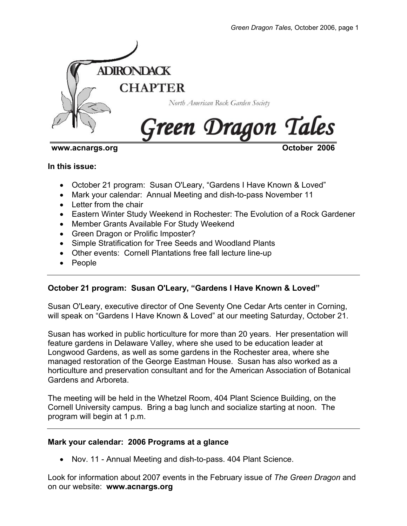

#### www.acnargs.org **October 2006**

#### **In this issue:**

- October 21 program: Susan O'Leary, "Gardens I Have Known & Loved"
- Mark your calendar: Annual Meeting and dish-to-pass November 11
- Letter from the chair
- Eastern Winter Study Weekend in Rochester: The Evolution of a Rock Gardener
- Member Grants Available For Study Weekend
- Green Dragon or Prolific Imposter?
- Simple Stratification for Tree Seeds and Woodland Plants
- Other events: Cornell Plantations free fall lecture line-up
- People

# **October 21 program: Susan O'Leary, "Gardens I Have Known & Loved"**

Susan O'Leary, executive director of One Seventy One Cedar Arts center in Corning, will speak on "Gardens I Have Known & Loved" at our meeting Saturday, October 21.

Susan has worked in public horticulture for more than 20 years. Her presentation will feature gardens in Delaware Valley, where she used to be education leader at Longwood Gardens, as well as some gardens in the Rochester area, where she managed restoration of the George Eastman House. Susan has also worked as a horticulture and preservation consultant and for the American Association of Botanical Gardens and Arboreta.

The meeting will be held in the Whetzel Room, 404 Plant Science Building, on the Cornell University campus. Bring a bag lunch and socialize starting at noon. The program will begin at 1 p.m.

### **Mark your calendar: 2006 Programs at a glance**

• Nov. 11 - Annual Meeting and dish-to-pass. 404 Plant Science.

Look for information about 2007 events in the February issue of *The Green Dragon* and on our website: **www.acnargs.org**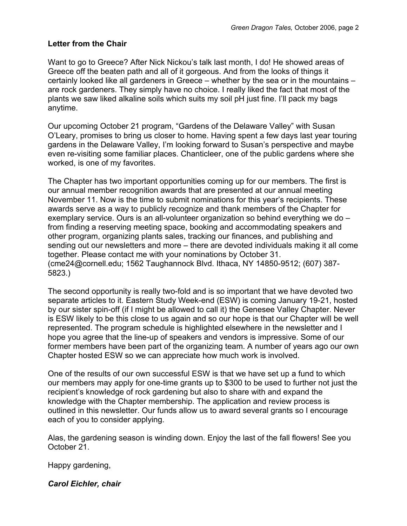### **Letter from the Chair**

Want to go to Greece? After Nick Nickou's talk last month, I do! He showed areas of Greece off the beaten path and all of it gorgeous. And from the looks of things it certainly looked like all gardeners in Greece – whether by the sea or in the mountains – are rock gardeners. They simply have no choice. I really liked the fact that most of the plants we saw liked alkaline soils which suits my soil pH just fine. I'll pack my bags anytime.

Our upcoming October 21 program, "Gardens of the Delaware Valley" with Susan O'Leary, promises to bring us closer to home. Having spent a few days last year touring gardens in the Delaware Valley, I'm looking forward to Susan's perspective and maybe even re-visiting some familiar places. Chanticleer, one of the public gardens where she worked, is one of my favorites.

The Chapter has two important opportunities coming up for our members. The first is our annual member recognition awards that are presented at our annual meeting November 11. Now is the time to submit nominations for this year's recipients. These awards serve as a way to publicly recognize and thank members of the Chapter for exemplary service. Ours is an all-volunteer organization so behind everything we do – from finding a reserving meeting space, booking and accommodating speakers and other program, organizing plants sales, tracking our finances, and publishing and sending out our newsletters and more – there are devoted individuals making it all come together. Please contact me with your nominations by October 31. (cme24@cornell.edu; 1562 Taughannock Blvd. Ithaca, NY 14850-9512; (607) 387- 5823.)

The second opportunity is really two-fold and is so important that we have devoted two separate articles to it. Eastern Study Week-end (ESW) is coming January 19-21, hosted by our sister spin-off (if I might be allowed to call it) the Genesee Valley Chapter. Never is ESW likely to be this close to us again and so our hope is that our Chapter will be well represented. The program schedule is highlighted elsewhere in the newsletter and I hope you agree that the line-up of speakers and vendors is impressive. Some of our former members have been part of the organizing team. A number of years ago our own Chapter hosted ESW so we can appreciate how much work is involved.

One of the results of our own successful ESW is that we have set up a fund to which our members may apply for one-time grants up to \$300 to be used to further not just the recipient's knowledge of rock gardening but also to share with and expand the knowledge with the Chapter membership. The application and review process is outlined in this newsletter. Our funds allow us to award several grants so I encourage each of you to consider applying.

Alas, the gardening season is winding down. Enjoy the last of the fall flowers! See you October 21.

Happy gardening,

*Carol Eichler, chair*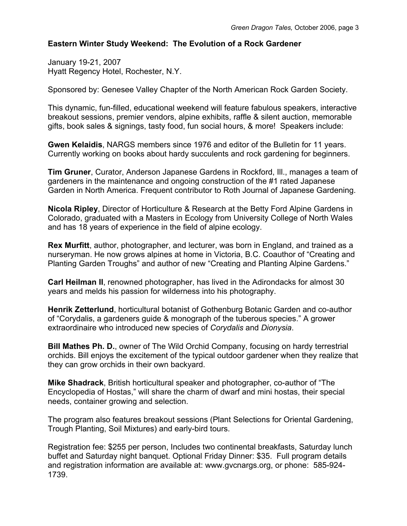### **Eastern Winter Study Weekend: The Evolution of a Rock Gardener**

January 19-21, 2007 Hyatt Regency Hotel, Rochester, N.Y.

Sponsored by: Genesee Valley Chapter of the North American Rock Garden Society.

This dynamic, fun-filled, educational weekend will feature fabulous speakers, interactive breakout sessions, premier vendors, alpine exhibits, raffle & silent auction, memorable gifts, book sales & signings, tasty food, fun social hours, & more! Speakers include:

**Gwen Kelaidis**, NARGS members since 1976 and editor of the Bulletin for 11 years. Currently working on books about hardy succulents and rock gardening for beginners.

**Tim Gruner**, Curator, Anderson Japanese Gardens in Rockford, Ill., manages a team of gardeners in the maintenance and ongoing construction of the #1 rated Japanese Garden in North America. Frequent contributor to Roth Journal of Japanese Gardening.

**Nicola Ripley**, Director of Horticulture & Research at the Betty Ford Alpine Gardens in Colorado, graduated with a Masters in Ecology from University College of North Wales and has 18 years of experience in the field of alpine ecology.

**Rex Murfitt**, author, photographer, and lecturer, was born in England, and trained as a nurseryman. He now grows alpines at home in Victoria, B.C. Coauthor of "Creating and Planting Garden Troughs" and author of new "Creating and Planting Alpine Gardens."

**Carl Heilman II**, renowned photographer, has lived in the Adirondacks for almost 30 years and melds his passion for wilderness into his photography.

**Henrik Zetterlund**, horticultural botanist of Gothenburg Botanic Garden and co-author of "Corydalis, a gardeners guide & monograph of the tuberous species." A grower extraordinaire who introduced new species of *Corydalis* and *Dionysia*.

**Bill Mathes Ph. D.**, owner of The Wild Orchid Company, focusing on hardy terrestrial orchids. Bill enjoys the excitement of the typical outdoor gardener when they realize that they can grow orchids in their own backyard.

**Mike Shadrack**, British horticultural speaker and photographer, co-author of "The Encyclopedia of Hostas," will share the charm of dwarf and mini hostas, their special needs, container growing and selection.

The program also features breakout sessions (Plant Selections for Oriental Gardening, Trough Planting, Soil Mixtures) and early-bird tours.

Registration fee: \$255 per person, Includes two continental breakfasts, Saturday lunch buffet and Saturday night banquet. Optional Friday Dinner: \$35. Full program details and registration information are available at: www.gvcnargs.org, or phone: 585-924- 1739.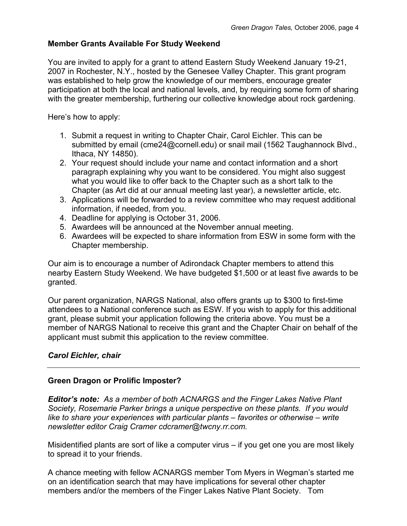# **Member Grants Available For Study Weekend**

You are invited to apply for a grant to attend Eastern Study Weekend January 19-21, 2007 in Rochester, N.Y., hosted by the Genesee Valley Chapter. This grant program was established to help grow the knowledge of our members, encourage greater participation at both the local and national levels, and, by requiring some form of sharing with the greater membership, furthering our collective knowledge about rock gardening.

Here's how to apply:

- 1. Submit a request in writing to Chapter Chair, Carol Eichler. This can be submitted by email (cme24@cornell.edu) or snail mail (1562 Taughannock Blvd., Ithaca, NY 14850).
- 2. Your request should include your name and contact information and a short paragraph explaining why you want to be considered. You might also suggest what you would like to offer back to the Chapter such as a short talk to the Chapter (as Art did at our annual meeting last year), a newsletter article, etc.
- 3. Applications will be forwarded to a review committee who may request additional information, if needed, from you.
- 4. Deadline for applying is October 31, 2006.
- 5. Awardees will be announced at the November annual meeting.
- 6. Awardees will be expected to share information from ESW in some form with the Chapter membership.

Our aim is to encourage a number of Adirondack Chapter members to attend this nearby Eastern Study Weekend. We have budgeted \$1,500 or at least five awards to be granted.

Our parent organization, NARGS National, also offers grants up to \$300 to first-time attendees to a National conference such as ESW. If you wish to apply for this additional grant, please submit your application following the criteria above. You must be a member of NARGS National to receive this grant and the Chapter Chair on behalf of the applicant must submit this application to the review committee.

# *Carol Eichler, chair*

# **Green Dragon or Prolific Imposter?**

*Editor's note: As a member of both ACNARGS and the Finger Lakes Native Plant Society, Rosemarie Parker brings a unique perspective on these plants. If you would like to share your experiences with particular plants – favorites or otherwise – write newsletter editor Craig Cramer cdcramer@twcny.rr.com.* 

Misidentified plants are sort of like a computer virus – if you get one you are most likely to spread it to your friends.

A chance meeting with fellow ACNARGS member Tom Myers in Wegman's started me on an identification search that may have implications for several other chapter members and/or the members of the Finger Lakes Native Plant Society. Tom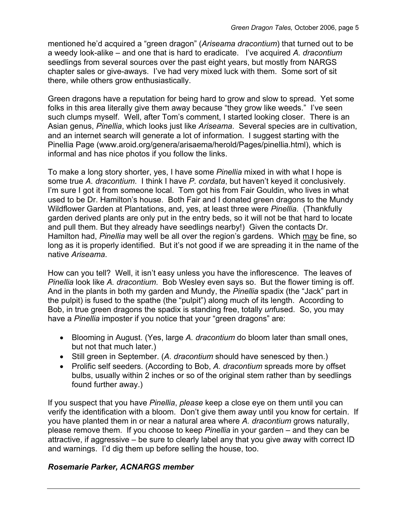mentioned he'd acquired a "green dragon" (*Ariseama dracontium*) that turned out to be a weedy look-alike – and one that is hard to eradicate. I've acquired *A. dracontium* seedlings from several sources over the past eight years, but mostly from NARGS chapter sales or give-aways. I've had very mixed luck with them. Some sort of sit there, while others grow enthusiastically.

Green dragons have a reputation for being hard to grow and slow to spread. Yet some folks in this area literally give them away because "they grow like weeds." I've seen such clumps myself. Well, after Tom's comment, I started looking closer. There is an Asian genus, *Pinellia*, which looks just like *Ariseama*. Several species are in cultivation, and an internet search will generate a lot of information. I suggest starting with the Pinellia Page (www.aroid.org/genera/arisaema/herold/Pages/pinellia.html), which is informal and has nice photos if you follow the links.

To make a long story shorter, yes, I have some *Pinellia* mixed in with what I hope is some true *A. dracontium*. I think I have *P. cordata*, but haven't keyed it conclusively. I'm sure I got it from someone local. Tom got his from Fair Gouldin, who lives in what used to be Dr. Hamilton's house. Both Fair and I donated green dragons to the Mundy Wildflower Garden at Plantations, and, yes, at least three were *Pinellia*. (Thankfully garden derived plants are only put in the entry beds, so it will not be that hard to locate and pull them. But they already have seedlings nearby!) Given the contacts Dr. Hamilton had, *Pinellia* may well be all over the region's gardens. Which may be fine, so long as it is properly identified. But it's not good if we are spreading it in the name of the native *Ariseama*.

How can you tell? Well, it isn't easy unless you have the inflorescence. The leaves of *Pinellia* look like *A. dracontium*. Bob Wesley even says so. But the flower timing is off. And in the plants in both my garden and Mundy, the *Pinellia* spadix (the "Jack" part in the pulpit) is fused to the spathe (the "pulpit") along much of its length. According to Bob, in true green dragons the spadix is standing free, totally *un*fused. So, you may have a *Pinellia* imposter if you notice that your "green dragons" are:

- Blooming in August. (Yes, large *A. dracontium* do bloom later than small ones, but not that much later.)
- Still green in September. (*A. dracontium* should have senesced by then.)
- Prolific self seeders. (According to Bob, *A. dracontium* spreads more by offset bulbs, usually within 2 inches or so of the original stem rather than by seedlings found further away.)

If you suspect that you have *Pinellia*, *please* keep a close eye on them until you can verify the identification with a bloom. Don't give them away until you know for certain. If you have planted them in or near a natural area where *A. dracontium* grows naturally, please remove them. If you choose to keep *Pinellia* in your garden – and they can be attractive, if aggressive – be sure to clearly label any that you give away with correct ID and warnings. I'd dig them up before selling the house, too.

# *Rosemarie Parker, ACNARGS member*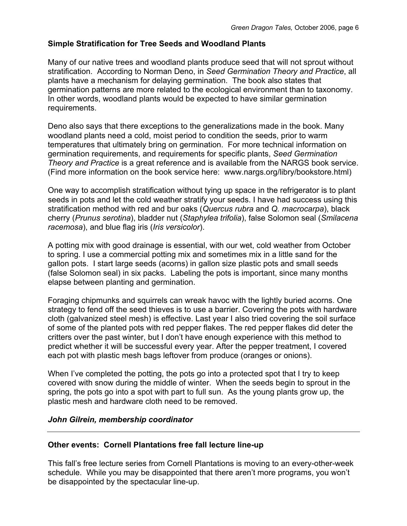### **Simple Stratification for Tree Seeds and Woodland Plants**

Many of our native trees and woodland plants produce seed that will not sprout without stratification. According to Norman Deno, in *Seed Germination Theory and Practice*, all plants have a mechanism for delaying germination. The book also states that germination patterns are more related to the ecological environment than to taxonomy. In other words, woodland plants would be expected to have similar germination requirements.

Deno also says that there exceptions to the generalizations made in the book. Many woodland plants need a cold, moist period to condition the seeds, prior to warm temperatures that ultimately bring on germination. For more technical information on germination requirements, and requirements for specific plants, *Seed Germination Theory and Practice* is a great reference and is available from the NARGS book service. (Find more information on the book service here: www.nargs.org/libry/bookstore.html)

One way to accomplish stratification without tying up space in the refrigerator is to plant seeds in pots and let the cold weather stratify your seeds. I have had success using this stratification method with red and bur oaks (*Quercus rubra* and *Q. macrocarpa*), black cherry (*Prunus serotina*), bladder nut (*Staphylea trifolia*), false Solomon seal (*Smilacena racemosa*), and blue flag iris (*Iris versicolor*).

A potting mix with good drainage is essential, with our wet, cold weather from October to spring. I use a commercial potting mix and sometimes mix in a little sand for the gallon pots. I start large seeds (acorns) in gallon size plastic pots and small seeds (false Solomon seal) in six packs. Labeling the pots is important, since many months elapse between planting and germination.

Foraging chipmunks and squirrels can wreak havoc with the lightly buried acorns. One strategy to fend off the seed thieves is to use a barrier. Covering the pots with hardware cloth (galvanized steel mesh) is effective. Last year I also tried covering the soil surface of some of the planted pots with red pepper flakes. The red pepper flakes did deter the critters over the past winter, but I don't have enough experience with this method to predict whether it will be successful every year. After the pepper treatment, I covered each pot with plastic mesh bags leftover from produce (oranges or onions).

When I've completed the potting, the pots go into a protected spot that I try to keep covered with snow during the middle of winter. When the seeds begin to sprout in the spring, the pots go into a spot with part to full sun. As the young plants grow up, the plastic mesh and hardware cloth need to be removed.

#### *John Gilrein, membership coordinator*

### **Other events: Cornell Plantations free fall lecture line-up**

This fall's free lecture series from Cornell Plantations is moving to an every-other-week schedule. While you may be disappointed that there aren't more programs, you won't be disappointed by the spectacular line-up.